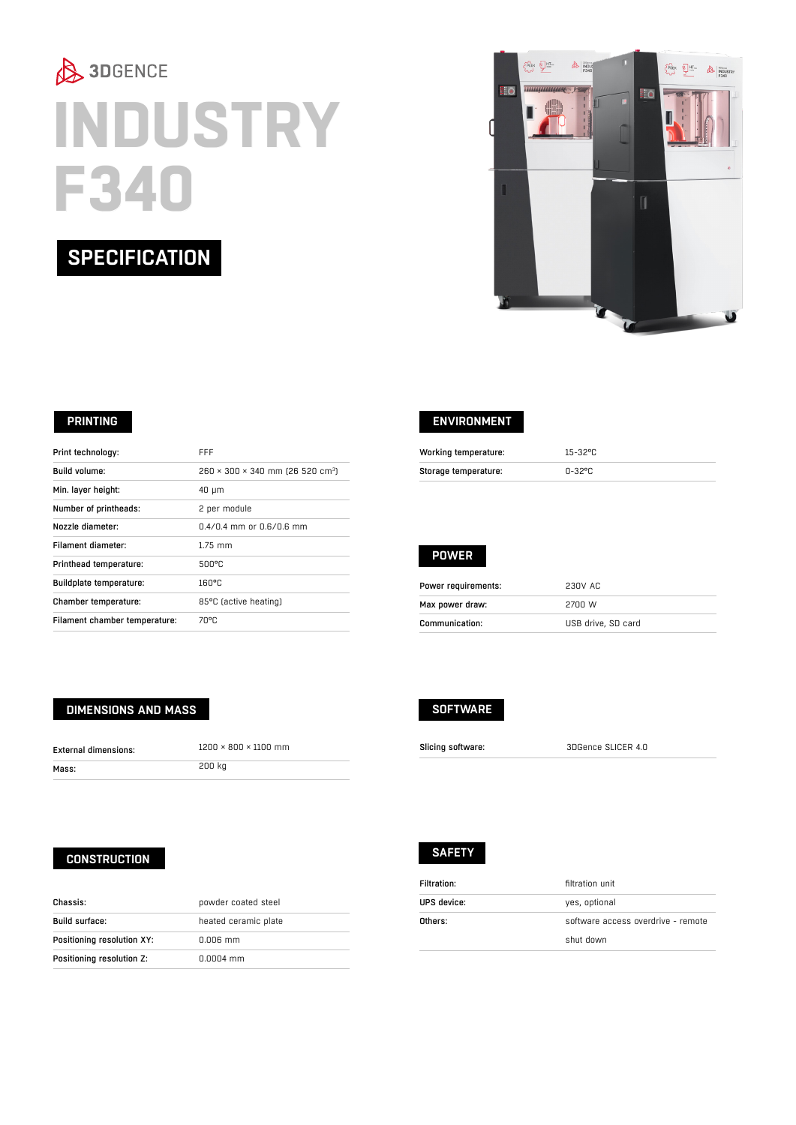## 3DGENCE **INDUSTRY F340**

### **SPECIFICATION**



#### **PRINTING**

| Print technology:             | FFF                                                      |
|-------------------------------|----------------------------------------------------------|
| Build volume:                 | $260 \times 300 \times 340$ mm (26 520 cm <sup>3</sup> ) |
| Min. layer height:            | $40 \mu m$                                               |
| Number of printheads:         | 2 per module                                             |
| Nozzle diameter:              | $0.4/0.4$ mm or $0.6/0.6$ mm                             |
| <b>Filament diameter:</b>     | $1.75$ mm                                                |
| Printhead temperature:        | 500°C                                                    |
| Buildplate temperature:       | 160°C                                                    |
| Chamber temperature:          | 85°C (active heating)                                    |
| Filament chamber temperature: | 7በ°Ր.                                                    |

#### **ENVIRONMENT**

| Working temperature: | 15-32°C |
|----------------------|---------|
| Storage temperature: | 0-32°C  |

#### **POWER**

| Power requirements: | 230V AC            |
|---------------------|--------------------|
| Max power draw:     | 2700 W             |
| Communication:      | USB drive, SD card |

#### **DIMENSIONS AND MASS**

|       | <b>External dimensions:</b> |
|-------|-----------------------------|
| Mass: |                             |

200 kg

1200 × 800 × 1100 mm

#### **SOFTWARE**

Slicing software: 3DGence SLICER 4.0

### **SAFETY CONSTRUCTION**

| Chassis:                   | powder coated steel  |
|----------------------------|----------------------|
| Build surface:             | heated ceramic plate |
| Positioning resolution XY: | $0.006$ mm           |
| Positioning resolution Z:  | $0.0004$ mm          |



| Filtration: | filtration unit                    |
|-------------|------------------------------------|
| UPS device: | yes, optional                      |
| Others:     | software access overdrive - remote |
|             | shut down                          |